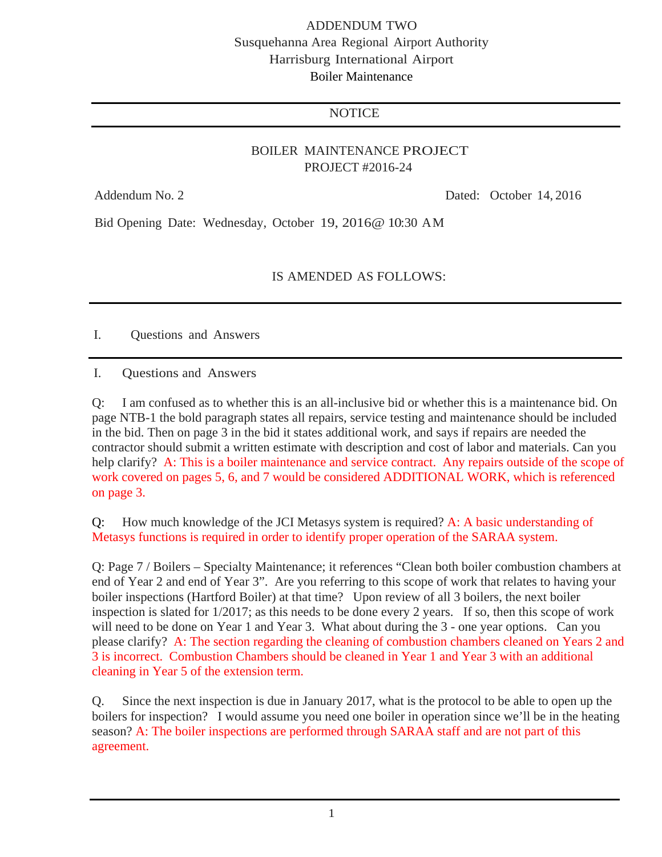## ADDENDUM TWO Susquehanna Area Regional Airport Authority Harrisburg International Airport Boiler Maintenance

## **NOTICE**

## BOILER MAINTENANCE PROJECT PROJECT #2016-24

Addendum No. 2 Dated: October 14, 2016

Bid Opening Date: Wednesday, October 19, 2016@ 10:30 AM

IS AMENDED AS FOLLOWS:

I. Questions and Answers

I. Questions and Answers

Q: I am confused as to whether this is an all-inclusive bid or whether this is a maintenance bid. On page NTB-1 the bold paragraph states all repairs, service testing and maintenance should be included in the bid. Then on page 3 in the bid it states additional work, and says if repairs are needed the contractor should submit a written estimate with description and cost of labor and materials. Can you help clarify? A: This is a boiler maintenance and service contract. Any repairs outside of the scope of work covered on pages 5, 6, and 7 would be considered ADDITIONAL WORK, which is referenced on page 3.

Q: How much knowledge of the JCI Metasys system is required? A: A basic understanding of Metasys functions is required in order to identify proper operation of the SARAA system.

Q: Page 7 / Boilers – Specialty Maintenance; it references "Clean both boiler combustion chambers at end of Year 2 and end of Year 3". Are you referring to this scope of work that relates to having your boiler inspections (Hartford Boiler) at that time? Upon review of all 3 boilers, the next boiler inspection is slated for 1/2017; as this needs to be done every 2 years. If so, then this scope of work will need to be done on Year 1 and Year 3. What about during the 3 - one year options. Can you please clarify? A: The section regarding the cleaning of combustion chambers cleaned on Years 2 and 3 is incorrect. Combustion Chambers should be cleaned in Year 1 and Year 3 with an additional cleaning in Year 5 of the extension term.

Q. Since the next inspection is due in January 2017, what is the protocol to be able to open up the boilers for inspection? I would assume you need one boiler in operation since we'll be in the heating season? A: The boiler inspections are performed through SARAA staff and are not part of this agreement.